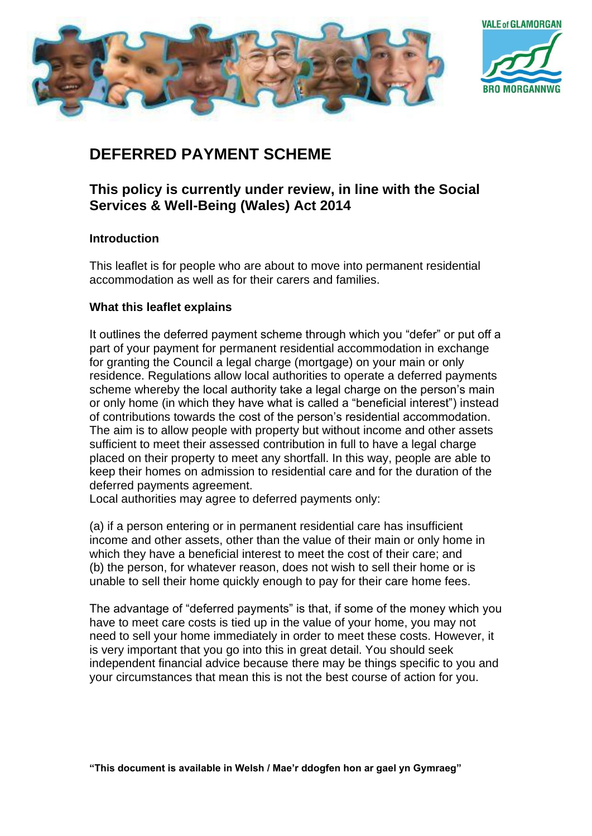



# **DEFERRED PAYMENT SCHEME**

# **This policy is currently under review, in line with the Social Services & Well-Being (Wales) Act 2014**

# **Introduction**

This leaflet is for people who are about to move into permanent residential accommodation as well as for their carers and families.

## **What this leaflet explains**

It outlines the deferred payment scheme through which you "defer" or put off a part of your payment for permanent residential accommodation in exchange for granting the Council a legal charge (mortgage) on your main or only residence. Regulations allow local authorities to operate a deferred payments scheme whereby the local authority take a legal charge on the person's main or only home (in which they have what is called a "beneficial interest") instead of contributions towards the cost of the person's residential accommodation. The aim is to allow people with property but without income and other assets sufficient to meet their assessed contribution in full to have a legal charge placed on their property to meet any shortfall. In this way, people are able to keep their homes on admission to residential care and for the duration of the deferred payments agreement.

Local authorities may agree to deferred payments only:

(a) if a person entering or in permanent residential care has insufficient income and other assets, other than the value of their main or only home in which they have a beneficial interest to meet the cost of their care; and (b) the person, for whatever reason, does not wish to sell their home or is unable to sell their home quickly enough to pay for their care home fees.

The advantage of "deferred payments" is that, if some of the money which you have to meet care costs is tied up in the value of your home, you may not need to sell your home immediately in order to meet these costs. However, it is very important that you go into this in great detail. You should seek independent financial advice because there may be things specific to you and your circumstances that mean this is not the best course of action for you.

**"This document is available in Welsh / Mae'r ddogfen hon ar gael yn Gymraeg"**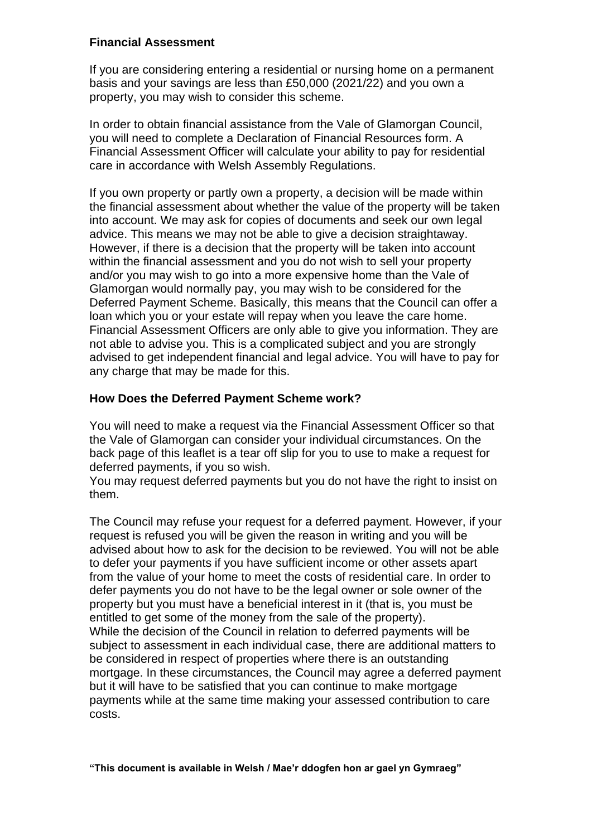#### **Financial Assessment**

If you are considering entering a residential or nursing home on a permanent basis and your savings are less than £50,000 (2021/22) and you own a property, you may wish to consider this scheme.

In order to obtain financial assistance from the Vale of Glamorgan Council, you will need to complete a Declaration of Financial Resources form. A Financial Assessment Officer will calculate your ability to pay for residential care in accordance with Welsh Assembly Regulations.

If you own property or partly own a property, a decision will be made within the financial assessment about whether the value of the property will be taken into account. We may ask for copies of documents and seek our own legal advice. This means we may not be able to give a decision straightaway. However, if there is a decision that the property will be taken into account within the financial assessment and you do not wish to sell your property and/or you may wish to go into a more expensive home than the Vale of Glamorgan would normally pay, you may wish to be considered for the Deferred Payment Scheme. Basically, this means that the Council can offer a loan which you or your estate will repay when you leave the care home. Financial Assessment Officers are only able to give you information. They are not able to advise you. This is a complicated subject and you are strongly advised to get independent financial and legal advice. You will have to pay for any charge that may be made for this.

## **How Does the Deferred Payment Scheme work?**

You will need to make a request via the Financial Assessment Officer so that the Vale of Glamorgan can consider your individual circumstances. On the back page of this leaflet is a tear off slip for you to use to make a request for deferred payments, if you so wish.

You may request deferred payments but you do not have the right to insist on them.

The Council may refuse your request for a deferred payment. However, if your request is refused you will be given the reason in writing and you will be advised about how to ask for the decision to be reviewed. You will not be able to defer your payments if you have sufficient income or other assets apart from the value of your home to meet the costs of residential care. In order to defer payments you do not have to be the legal owner or sole owner of the property but you must have a beneficial interest in it (that is, you must be entitled to get some of the money from the sale of the property). While the decision of the Council in relation to deferred payments will be subject to assessment in each individual case, there are additional matters to be considered in respect of properties where there is an outstanding mortgage. In these circumstances, the Council may agree a deferred payment but it will have to be satisfied that you can continue to make mortgage payments while at the same time making your assessed contribution to care costs.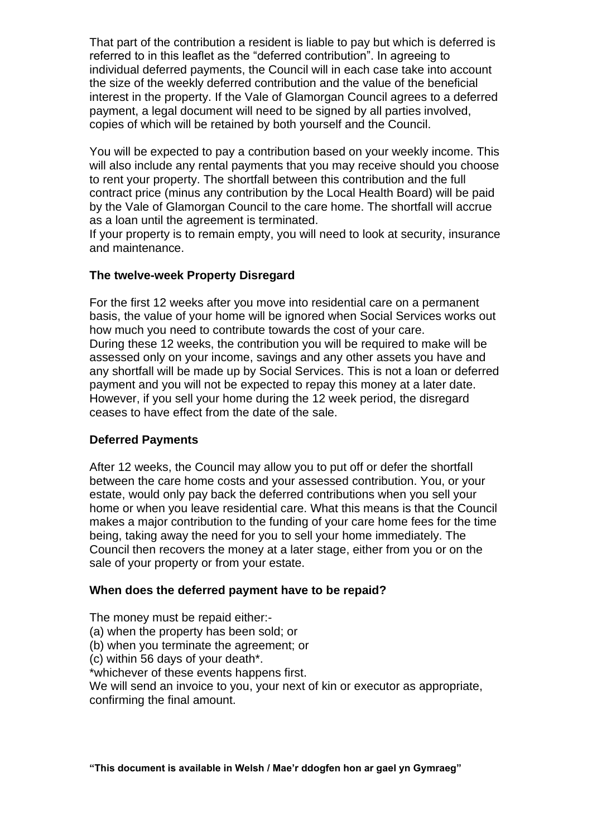That part of the contribution a resident is liable to pay but which is deferred is referred to in this leaflet as the "deferred contribution". In agreeing to individual deferred payments, the Council will in each case take into account the size of the weekly deferred contribution and the value of the beneficial interest in the property. If the Vale of Glamorgan Council agrees to a deferred payment, a legal document will need to be signed by all parties involved, copies of which will be retained by both yourself and the Council.

You will be expected to pay a contribution based on your weekly income. This will also include any rental payments that you may receive should you choose to rent your property. The shortfall between this contribution and the full contract price (minus any contribution by the Local Health Board) will be paid by the Vale of Glamorgan Council to the care home. The shortfall will accrue as a loan until the agreement is terminated.

If your property is to remain empty, you will need to look at security, insurance and maintenance.

#### **The twelve-week Property Disregard**

For the first 12 weeks after you move into residential care on a permanent basis, the value of your home will be ignored when Social Services works out how much you need to contribute towards the cost of your care. During these 12 weeks, the contribution you will be required to make will be assessed only on your income, savings and any other assets you have and any shortfall will be made up by Social Services. This is not a loan or deferred payment and you will not be expected to repay this money at a later date. However, if you sell your home during the 12 week period, the disregard ceases to have effect from the date of the sale.

#### **Deferred Payments**

After 12 weeks, the Council may allow you to put off or defer the shortfall between the care home costs and your assessed contribution. You, or your estate, would only pay back the deferred contributions when you sell your home or when you leave residential care. What this means is that the Council makes a major contribution to the funding of your care home fees for the time being, taking away the need for you to sell your home immediately. The Council then recovers the money at a later stage, either from you or on the sale of your property or from your estate.

#### **When does the deferred payment have to be repaid?**

The money must be repaid either:-

- (a) when the property has been sold; or
- (b) when you terminate the agreement; or

(c) within 56 days of your death\*.

\*whichever of these events happens first.

We will send an invoice to you, your next of kin or executor as appropriate, confirming the final amount.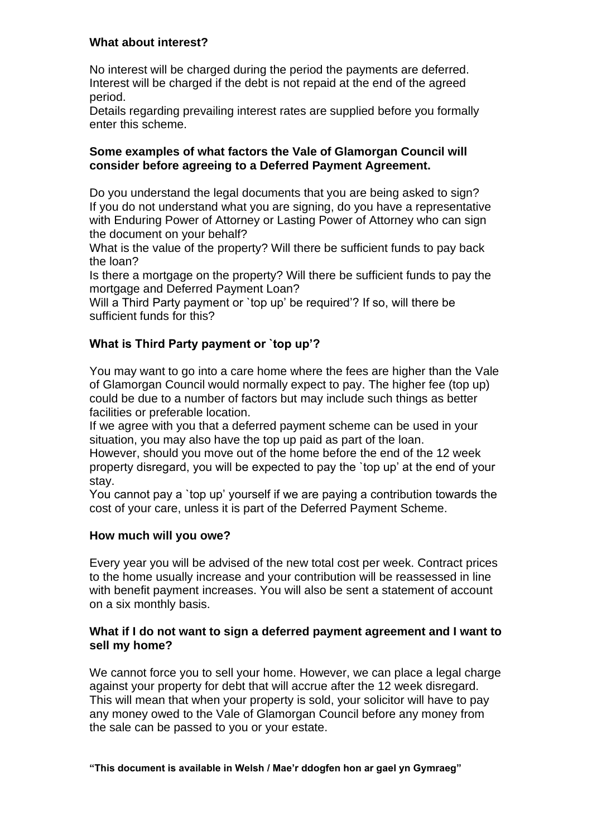#### **What about interest?**

No interest will be charged during the period the payments are deferred. Interest will be charged if the debt is not repaid at the end of the agreed period.

Details regarding prevailing interest rates are supplied before you formally enter this scheme.

#### **Some examples of what factors the Vale of Glamorgan Council will consider before agreeing to a Deferred Payment Agreement.**

Do you understand the legal documents that you are being asked to sign? If you do not understand what you are signing, do you have a representative with Enduring Power of Attorney or Lasting Power of Attorney who can sign the document on your behalf?

What is the value of the property? Will there be sufficient funds to pay back the loan?

Is there a mortgage on the property? Will there be sufficient funds to pay the mortgage and Deferred Payment Loan?

Will a Third Party payment or `top up' be required'? If so, will there be sufficient funds for this?

# **What is Third Party payment or `top up'?**

You may want to go into a care home where the fees are higher than the Vale of Glamorgan Council would normally expect to pay. The higher fee (top up) could be due to a number of factors but may include such things as better facilities or preferable location.

If we agree with you that a deferred payment scheme can be used in your situation, you may also have the top up paid as part of the loan.

However, should you move out of the home before the end of the 12 week property disregard, you will be expected to pay the `top up' at the end of your stay.

You cannot pay a `top up' yourself if we are paying a contribution towards the cost of your care, unless it is part of the Deferred Payment Scheme.

# **How much will you owe?**

Every year you will be advised of the new total cost per week. Contract prices to the home usually increase and your contribution will be reassessed in line with benefit payment increases. You will also be sent a statement of account on a six monthly basis.

#### **What if I do not want to sign a deferred payment agreement and I want to sell my home?**

We cannot force you to sell your home. However, we can place a legal charge against your property for debt that will accrue after the 12 week disregard. This will mean that when your property is sold, your solicitor will have to pay any money owed to the Vale of Glamorgan Council before any money from the sale can be passed to you or your estate.

**"This document is available in Welsh / Mae'r ddogfen hon ar gael yn Gymraeg"**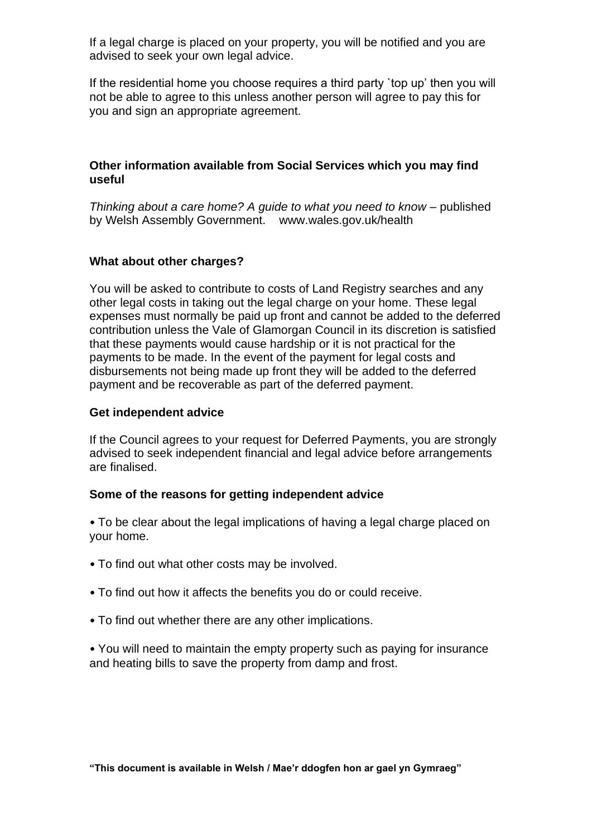If a legal charge is placed on your property, you will be notified and you are advised to seek your own legal advice.

If the residential home you choose requires a third party `top up' then you will not be able to agree to this unless another person will agree to pay this for you and sign an appropriate agreement.

#### **Other information available from Social Services which you may find useful**

*Thinking about a care home? A guide to what you need to know – published* by Welsh Assembly Government. www.wales.gov.uk/health

## **What about other charges?**

You will be asked to contribute to costs of Land Registry searches and any other legal costs in taking out the legal charge on your home. These legal expenses must normally be paid up front and cannot be added to the deferred contribution unless the Vale of Glamorgan Council in its discretion is satisfied that these payments would cause hardship or it is not practical for the payments to be made. In the event of the payment for legal costs and disbursements not being made up front they will be added to the deferred payment and be recoverable as part of the deferred payment.

#### **Get independent advice**

If the Council agrees to your request for Deferred Payments, you are strongly advised to seek independent financial and legal advice before arrangements are finalised.

#### **Some of the reasons for getting independent advice**

• To be clear about the legal implications of having a legal charge placed on your home.

- To find out what other costs may be involved.
- To find out how it affects the benefits you do or could receive.
- To find out whether there are any other implications.

• You will need to maintain the empty property such as paying for insurance and heating bills to save the property from damp and frost.